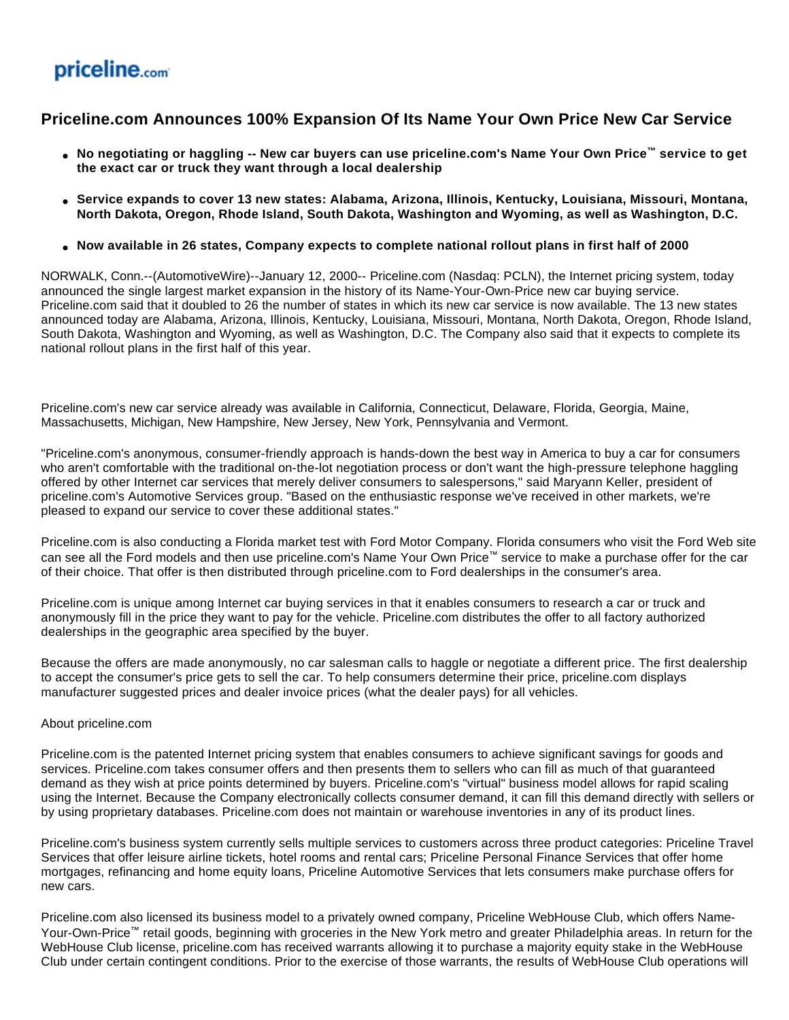## priceline.com

## **Priceline.com Announces 100% Expansion Of Its Name Your Own Price New Car Service**

- **No negotiating or haggling -- New car buyers can use priceline.com's Name Your Own Price™ service to get the exact car or truck they want through a local dealership**
- **Service expands to cover 13 new states: Alabama, Arizona, Illinois, Kentucky, Louisiana, Missouri, Montana, North Dakota, Oregon, Rhode Island, South Dakota, Washington and Wyoming, as well as Washington, D.C.**
- **Now available in 26 states, Company expects to complete national rollout plans in first half of 2000**

NORWALK, Conn.--(AutomotiveWire)--January 12, 2000-- Priceline.com (Nasdaq: PCLN), the Internet pricing system, today announced the single largest market expansion in the history of its Name-Your-Own-Price new car buying service. Priceline.com said that it doubled to 26 the number of states in which its new car service is now available. The 13 new states announced today are Alabama, Arizona, Illinois, Kentucky, Louisiana, Missouri, Montana, North Dakota, Oregon, Rhode Island, South Dakota, Washington and Wyoming, as well as Washington, D.C. The Company also said that it expects to complete its national rollout plans in the first half of this year.

Priceline.com's new car service already was available in California, Connecticut, Delaware, Florida, Georgia, Maine, Massachusetts, Michigan, New Hampshire, New Jersey, New York, Pennsylvania and Vermont.

"Priceline.com's anonymous, consumer-friendly approach is hands-down the best way in America to buy a car for consumers who aren't comfortable with the traditional on-the-lot negotiation process or don't want the high-pressure telephone haggling offered by other Internet car services that merely deliver consumers to salespersons," said Maryann Keller, president of priceline.com's Automotive Services group. "Based on the enthusiastic response we've received in other markets, we're pleased to expand our service to cover these additional states."

Priceline.com is also conducting a Florida market test with Ford Motor Company. Florida consumers who visit the Ford Web site can see all the Ford models and then use priceline.com's Name Your Own Price™ service to make a purchase offer for the car of their choice. That offer is then distributed through priceline.com to Ford dealerships in the consumer's area.

Priceline.com is unique among Internet car buying services in that it enables consumers to research a car or truck and anonymously fill in the price they want to pay for the vehicle. Priceline.com distributes the offer to all factory authorized dealerships in the geographic area specified by the buyer.

Because the offers are made anonymously, no car salesman calls to haggle or negotiate a different price. The first dealership to accept the consumer's price gets to sell the car. To help consumers determine their price, priceline.com displays manufacturer suggested prices and dealer invoice prices (what the dealer pays) for all vehicles.

## About priceline.com

Priceline.com is the patented Internet pricing system that enables consumers to achieve significant savings for goods and services. Priceline.com takes consumer offers and then presents them to sellers who can fill as much of that guaranteed demand as they wish at price points determined by buyers. Priceline.com's "virtual" business model allows for rapid scaling using the Internet. Because the Company electronically collects consumer demand, it can fill this demand directly with sellers or by using proprietary databases. Priceline.com does not maintain or warehouse inventories in any of its product lines.

Priceline.com's business system currently sells multiple services to customers across three product categories: Priceline Travel Services that offer leisure airline tickets, hotel rooms and rental cars; Priceline Personal Finance Services that offer home mortgages, refinancing and home equity loans, Priceline Automotive Services that lets consumers make purchase offers for new cars.

Priceline.com also licensed its business model to a privately owned company, Priceline WebHouse Club, which offers Name-Your-Own-Price™ retail goods, beginning with groceries in the New York metro and greater Philadelphia areas. In return for the WebHouse Club license, priceline.com has received warrants allowing it to purchase a majority equity stake in the WebHouse Club under certain contingent conditions. Prior to the exercise of those warrants, the results of WebHouse Club operations will